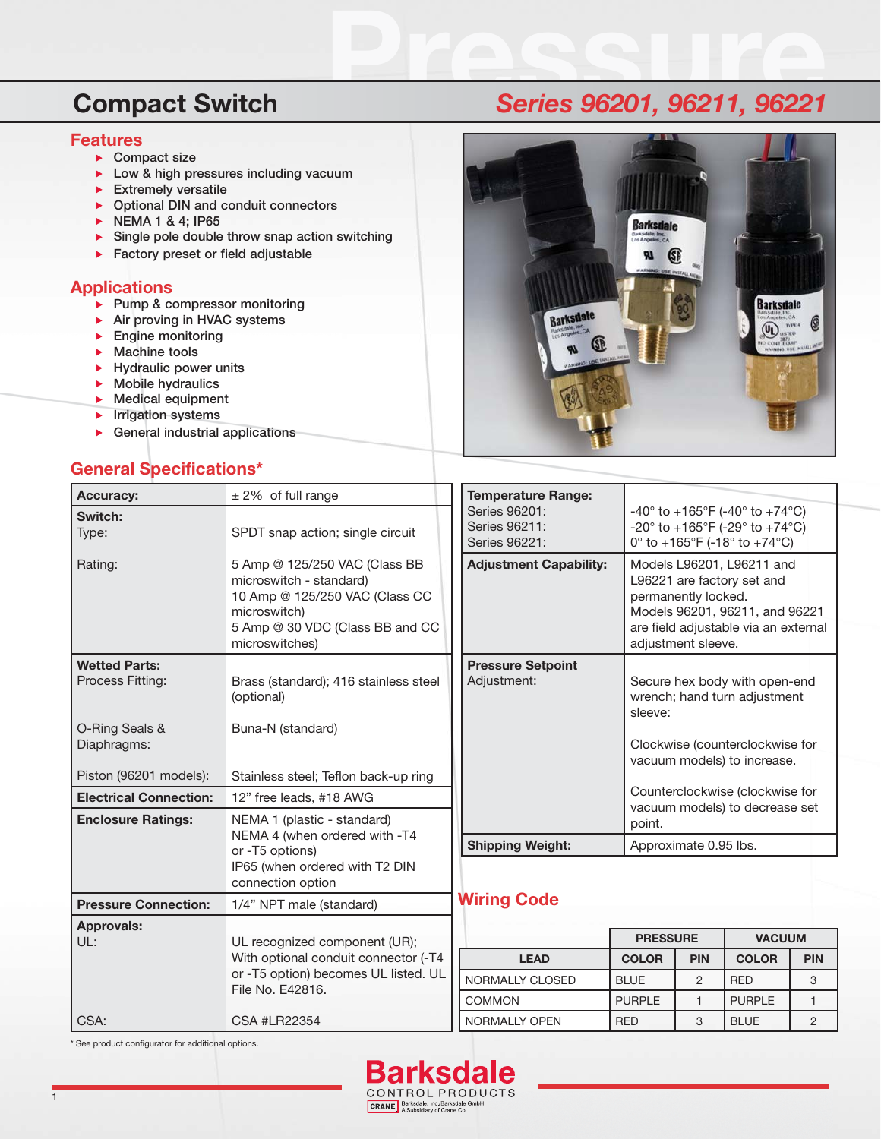### **Features**

- **Compact size**
- **Low & high pressures including vacuum**
- **Extremely versatile**
- **Optional DIN and conduit connectors**
- **NEMA 1 & 4; IP65**
- **Single pole double throw snap action switching**
- **Factory preset or field adjustable**

## **Applications**

- **Pump & compressor monitoring**
- **Air proving in HVAC systems**
- **Engine monitoring**
- **Machine tools**
- **Hydraulic power units**
- **Mobile hydraulics**
- **Medical equipment**
- **EXECUTE:** Irrigation systems
- **General industrial applications**

## **General Specifications\***



| <b>Accuracy:</b>                         | $± 2\%$ of full range                                                                                                                                           | <b>Temperature Range:</b>                       |                                 |                                                                                                                                                                                |               |                |  |
|------------------------------------------|-----------------------------------------------------------------------------------------------------------------------------------------------------------------|-------------------------------------------------|---------------------------------|--------------------------------------------------------------------------------------------------------------------------------------------------------------------------------|---------------|----------------|--|
| Switch:<br>Type:                         | SPDT snap action; single circuit                                                                                                                                | Series 96201:<br>Series 96211:<br>Series 96221: |                                 | $-40^{\circ}$ to $+165^{\circ}$ F (-40° to $+74^{\circ}$ C)<br>-20° to +165°F (-29° to +74°C)<br>0° to +165°F (-18° to +74°C)                                                  |               |                |  |
| Rating:                                  | 5 Amp @ 125/250 VAC (Class BB<br>microswitch - standard)<br>10 Amp @ 125/250 VAC (Class CC<br>microswitch)<br>5 Amp @ 30 VDC (Class BB and CC<br>microswitches) | <b>Adjustment Capability:</b>                   |                                 | Models L96201, L96211 and<br>L96221 are factory set and<br>permanently locked.<br>Models 96201, 96211, and 96221<br>are field adjustable via an external<br>adjustment sleeve. |               |                |  |
| <b>Wetted Parts:</b><br>Process Fitting: | Brass (standard); 416 stainless steel<br>(optional)                                                                                                             | <b>Pressure Setpoint</b><br>Adjustment:         | sleeve:                         | Secure hex body with open-end<br>wrench; hand turn adjustment                                                                                                                  |               |                |  |
| O-Ring Seals &<br>Diaphragms:            | Buna-N (standard)                                                                                                                                               |                                                 |                                 | Clockwise (counterclockwise for<br>vacuum models) to increase.                                                                                                                 |               |                |  |
| Piston (96201 models):                   | Stainless steel; Teflon back-up ring                                                                                                                            |                                                 | Counterclockwise (clockwise for |                                                                                                                                                                                |               |                |  |
| <b>Electrical Connection:</b>            | 12" free leads, #18 AWG                                                                                                                                         | vacuum models) to decrease set                  |                                 |                                                                                                                                                                                |               |                |  |
| <b>Enclosure Ratings:</b>                | NEMA 1 (plastic - standard)<br>NEMA 4 (when ordered with -T4<br>or -T5 options)<br>IP65 (when ordered with T2 DIN<br>connection option                          |                                                 | point.                          |                                                                                                                                                                                |               |                |  |
|                                          |                                                                                                                                                                 | <b>Shipping Weight:</b>                         |                                 | Approximate 0.95 lbs.                                                                                                                                                          |               |                |  |
|                                          |                                                                                                                                                                 |                                                 |                                 |                                                                                                                                                                                |               |                |  |
| <b>Pressure Connection:</b>              | 1/4" NPT male (standard)                                                                                                                                        | <b>Wiring Code</b>                              |                                 |                                                                                                                                                                                |               |                |  |
| <b>Approvals:</b>                        |                                                                                                                                                                 |                                                 |                                 | <b>PRESSURE</b><br><b>VACUUM</b>                                                                                                                                               |               |                |  |
| UL:                                      | UL recognized component (UR);                                                                                                                                   |                                                 |                                 |                                                                                                                                                                                |               |                |  |
|                                          | With optional conduit connector (-T4<br>or -T5 option) becomes UL listed. UL                                                                                    | <b>LEAD</b>                                     | <b>COLOR</b>                    | <b>PIN</b>                                                                                                                                                                     | <b>COLOR</b>  | <b>PIN</b>     |  |
|                                          | File No. E42816.                                                                                                                                                | NORMALLY CLOSED                                 | <b>BLUE</b>                     | 2                                                                                                                                                                              | <b>RED</b>    | 3              |  |
|                                          |                                                                                                                                                                 | <b>COMMON</b>                                   | <b>PURPLE</b>                   | $\mathbf{1}$                                                                                                                                                                   | <b>PURPLE</b> | $\mathbf{1}$   |  |
| CSA:                                     | <b>CSA #LR22354</b>                                                                                                                                             | NORMALLY OPEN                                   | <b>RED</b>                      | 3                                                                                                                                                                              | <b>BLUE</b>   | $\overline{2}$ |  |

\* See product configurator for additional options.



# **Compact Switch Pressure** *Series 96201, 96211, 96221*